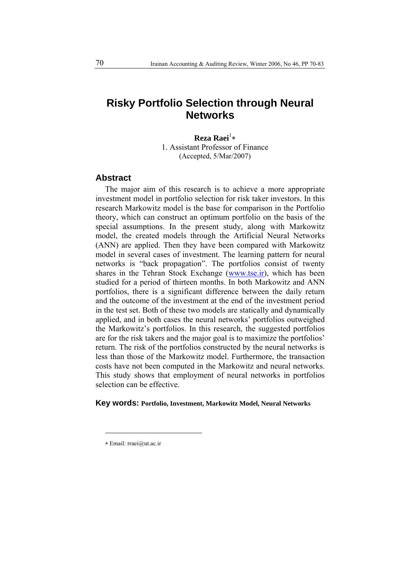# **Risky Portfolio Selection through Neural Networks**

**Reza Raei<sup>1</sup>\*** 1. Assistant Professor of Finance (Accepted, 5/Mar/2007)

#### **Abstract**

The major aim of this research is to achieve a more appropriate investment model in portfolio selection for risk taker investors. In this research Markowitz model is the base for comparison in the Portfolio theory, which can construct an optimum portfolio on the basis of the special assumptions. In the present study, along with Markowitz model, the created models through the Artificial Neural Networks (ANN) are applied. Then they have been compared with Markowitz model in several cases of investment. The learning pattern for neural networks is "back propagation". The portfolios consist of twenty shares in the Tehran Stock Exchange (www.tse.ir), which has been studied for a period of thirteen months. In both Markowitz and ANN portfolios, there is a significant difference between the daily return and the outcome of the investment at the end of the investment period in the test set. Both of these two models are statically and dynamically applied, and in both cases the neural networks' portfolios outweighed the Markowitz's portfolios. In this research, the suggested portfolios are for the risk takers and the major goal is to maximize the portfolios' return. The risk of the portfolios constructed by the neural networks is less than those of the Markowitz model. Furthermore, the transaction costs have not been computed in the Markowitz and neural networks. This study shows that employment of neural networks in portfolios selection can be effective.

#### **Key words: Portfolio, Investment, Markowitz Model, Neural Networks**

 $\overline{a}$ 

<sup>∗</sup> Email: rraei@ut.ac.ir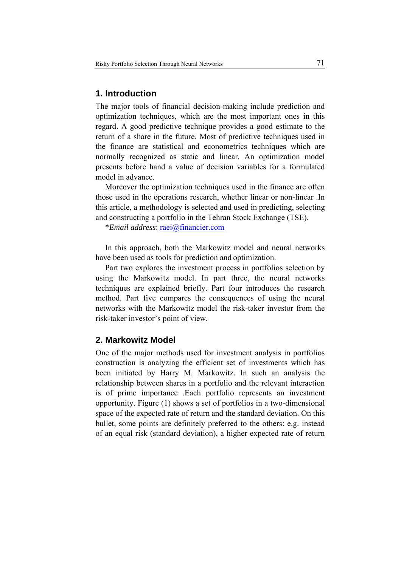## **1. Introduction**

The major tools of financial decision-making include prediction and optimization techniques, which are the most important ones in this regard. A good predictive technique provides a good estimate to the return of a share in the future. Most of predictive techniques used in the finance are statistical and econometrics techniques which are normally recognized as static and linear. An optimization model presents before hand a value of decision variables for a formulated model in advance.

Moreover the optimization techniques used in the finance are often those used in the operations research, whether linear or non-linear .In this article, a methodology is selected and used in predicting, selecting and constructing a portfolio in the Tehran Stock Exchange (TSE).

\**Email address*: raei@financier.com

In this approach, both the Markowitz model and neural networks have been used as tools for prediction and optimization.

Part two explores the investment process in portfolios selection by using the Markowitz model. In part three, the neural networks techniques are explained briefly. Part four introduces the research method. Part five compares the consequences of using the neural networks with the Markowitz model the risk-taker investor from the risk-taker investor's point of view.

### **2. Markowitz Model**

One of the major methods used for investment analysis in portfolios construction is analyzing the efficient set of investments which has been initiated by Harry M. Markowitz. In such an analysis the relationship between shares in a portfolio and the relevant interaction is of prime importance .Each portfolio represents an investment opportunity. Figure (1) shows a set of portfolios in a two-dimensional space of the expected rate of return and the standard deviation. On this bullet, some points are definitely preferred to the others: e.g. instead of an equal risk (standard deviation), a higher expected rate of return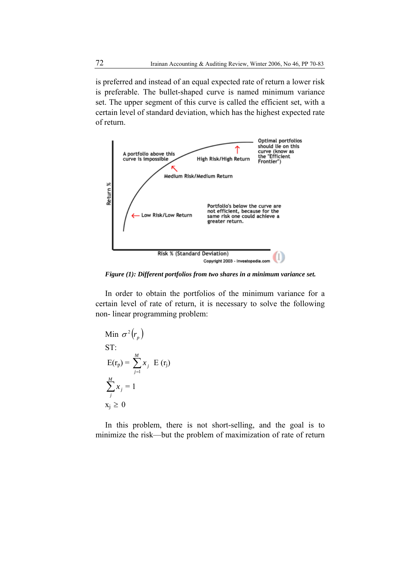is preferred and instead of an equal expected rate of return a lower risk is preferable. The bullet-shaped curve is named minimum variance set. The upper segment of this curve is called the efficient set, with a certain level of standard deviation, which has the highest expected rate of return.



*Figure (1): Different portfolios from two shares in a minimum variance set.* 

In order to obtain the portfolios of the minimum variance for a certain level of rate of return, it is necessary to solve the following non- linear programming problem:

Min 
$$
\sigma^2(r_p)
$$
  
\nST:  
\nE(r<sub>p</sub>) =  $\sum_{j=1}^{M} x_j$  E(r<sub>j</sub>)  
\n $\sum_{j=1}^{M} x_j = 1$   
\n $x_j \ge 0$ 

In this problem, there is not short-selling, and the goal is to minimize the risk—but the problem of maximization of rate of return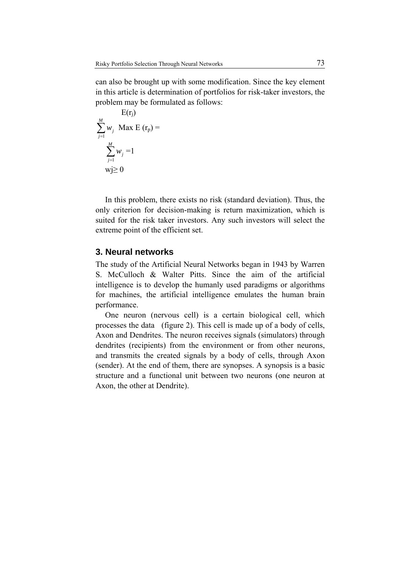can also be brought up with some modification. Since the key element in this article is determination of portfolios for risk-taker investors, the problem may be formulated as follows:

$$
E(r_j)
$$
  

$$
\sum_{j=1}^{M} w_j \text{ Max } E(r_p) =
$$
  

$$
\sum_{j=1}^{M} w_j = 1
$$
  

$$
w_j \ge 0
$$

In this problem, there exists no risk (standard deviation). Thus, the only criterion for decision-making is return maximization, which is suited for the risk taker investors. Any such investors will select the extreme point of the efficient set.

### **3. Neural networks**

The study of the Artificial Neural Networks began in 1943 by Warren S. McCulloch & Walter Pitts. Since the aim of the artificial intelligence is to develop the humanly used paradigms or algorithms for machines, the artificial intelligence emulates the human brain performance.

One neuron (nervous cell) is a certain biological cell, which processes the data (figure 2). This cell is made up of a body of cells, Axon and Dendrites. The neuron receives signals (simulators) through dendrites (recipients) from the environment or from other neurons, and transmits the created signals by a body of cells, through Axon (sender). At the end of them, there are synopses. A synopsis is a basic structure and a functional unit between two neurons (one neuron at Axon, the other at Dendrite).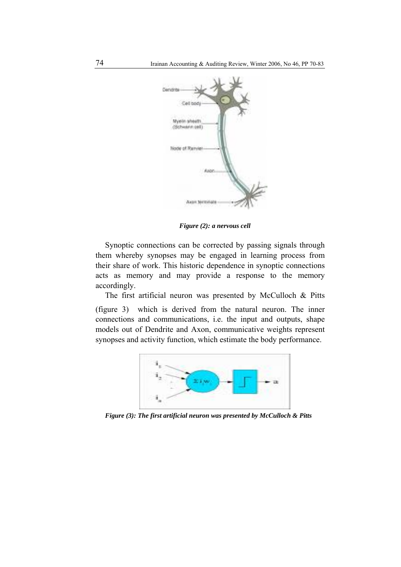

*Figure (2): a nervous cell* 

Synoptic connections can be corrected by passing signals through them whereby synopses may be engaged in learning process from their share of work. This historic dependence in synoptic connections acts as memory and may provide a response to the memory accordingly.

The first artificial neuron was presented by McCulloch & Pitts (figure 3) which is derived from the natural neuron. The inner connections and communications, i.e. the input and outputs, shape models out of Dendrite and Axon, communicative weights represent synopses and activity function, which estimate the body performance.



*Figure (3): The first artificial neuron was presented by McCulloch & Pitts*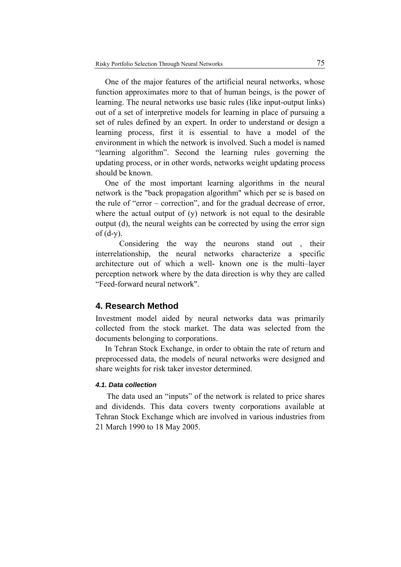One of the major features of the artificial neural networks, whose function approximates more to that of human beings, is the power of learning. The neural networks use basic rules (like input-output links) out of a set of interpretive models for learning in place of pursuing a set of rules defined by an expert. In order to understand or design a learning process, first it is essential to have a model of the environment in which the network is involved. Such a model is named "learning algorithm". Second the learning rules governing the updating process, or in other words, networks weight updating process should be known.

One of the most important learning algorithms in the neural network is the "back propagation algorithm" which per se is based on the rule of "error – correction", and for the gradual decrease of error, where the actual output of (y) network is not equal to the desirable output (d), the neural weights can be corrected by using the error sign of  $(d-y)$ .

 Considering the way the neurons stand out , their interrelationship, the neural networks characterize a specific architecture out of which a well- known one is the multi–layer perception network where by the data direction is why they are called "Feed-forward neural network".

### **4. Research Method**

Investment model aided by neural networks data was primarily collected from the stock market. The data was selected from the documents belonging to corporations.

In Tehran Stock Exchange, in order to obtain the rate of return and preprocessed data, the models of neural networks were designed and share weights for risk taker investor determined.

#### *4.1. Data collection*

The data used an "inputs" of the network is related to price shares and dividends. This data covers twenty corporations available at Tehran Stock Exchange which are involved in various industries from 21 March 1990 to 18 May 2005.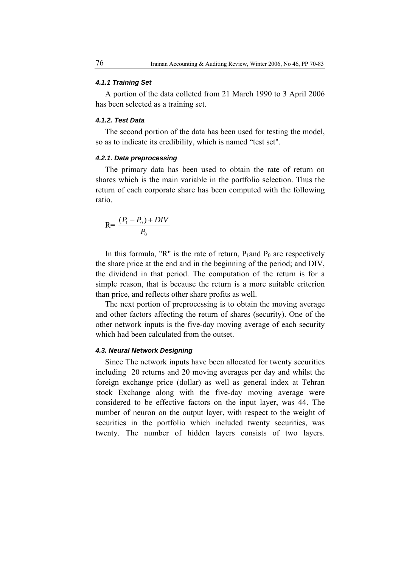#### *4.1.1 Training Set*

A portion of the data colleted from 21 March 1990 to 3 April 2006 has been selected as a training set.

#### *4.1.2. Test Data*

The second portion of the data has been used for testing the model, so as to indicate its credibility, which is named "test set".

#### *4.2.1. Data preprocessing*

The primary data has been used to obtain the rate of return on shares which is the main variable in the portfolio selection. Thus the return of each corporate share has been computed with the following ratio.

$$
R = \frac{(P_1 - P_0) + DIV}{P_0}
$$

In this formula, "R" is the rate of return,  $P_1$  and  $P_0$  are respectively the share price at the end and in the beginning of the period; and DIV, the dividend in that period. The computation of the return is for a simple reason, that is because the return is a more suitable criterion than price, and reflects other share profits as well.

The next portion of preprocessing is to obtain the moving average and other factors affecting the return of shares (security). One of the other network inputs is the five-day moving average of each security which had been calculated from the outset.

#### *4.3. Neural Network Designing*

Since The network inputs have been allocated for twenty securities including 20 returns and 20 moving averages per day and whilst the foreign exchange price (dollar) as well as general index at Tehran stock Exchange along with the five-day moving average were considered to be effective factors on the input layer, was 44. The number of neuron on the output layer, with respect to the weight of securities in the portfolio which included twenty securities, was twenty. The number of hidden layers consists of two layers.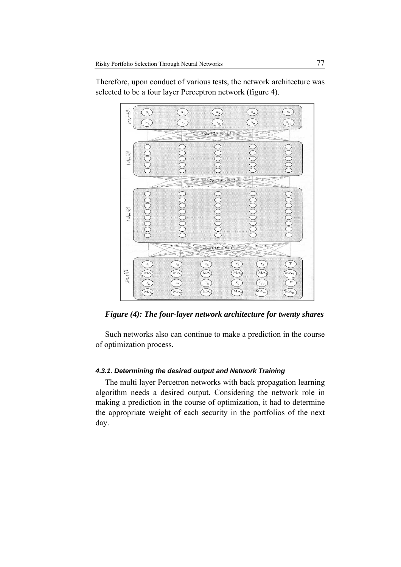

Therefore, upon conduct of various tests, the network architecture was selected to be a four layer Perceptron network (figure 4).

*Figure (4): The four-layer network architecture for twenty shares*

Such networks also can continue to make a prediction in the course of optimization process.

#### *4.3.1. Determining the desired output and Network Training*

The multi layer Percetron networks with back propagation learning algorithm needs a desired output. Considering the network role in making a prediction in the course of optimization, it had to determine the appropriate weight of each security in the portfolios of the next day.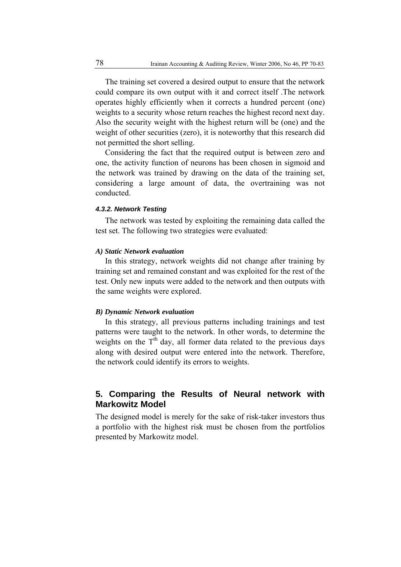The training set covered a desired output to ensure that the network could compare its own output with it and correct itself .The network operates highly efficiently when it corrects a hundred percent (one) weights to a security whose return reaches the highest record next day. Also the security weight with the highest return will be (one) and the weight of other securities (zero), it is noteworthy that this research did not permitted the short selling.

Considering the fact that the required output is between zero and one, the activity function of neurons has been chosen in sigmoid and the network was trained by drawing on the data of the training set, considering a large amount of data, the overtraining was not conducted.

#### *4.3.2. Network Testing*

The network was tested by exploiting the remaining data called the test set. The following two strategies were evaluated:

#### *A) Static Network evaluation*

In this strategy, network weights did not change after training by training set and remained constant and was exploited for the rest of the test. Only new inputs were added to the network and then outputs with the same weights were explored.

#### *B) Dynamic Network evaluation*

In this strategy, all previous patterns including trainings and test patterns were taught to the network. In other words, to determine the weights on the  $T<sup>th</sup>$  day, all former data related to the previous days along with desired output were entered into the network. Therefore, the network could identify its errors to weights.

# **5. Comparing the Results of Neural network with Markowitz Model**

The designed model is merely for the sake of risk-taker investors thus a portfolio with the highest risk must be chosen from the portfolios presented by Markowitz model.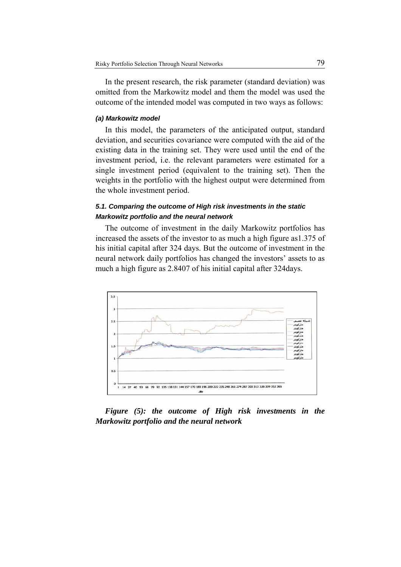In the present research, the risk parameter (standard deviation) was omitted from the Markowitz model and them the model was used the outcome of the intended model was computed in two ways as follows:

#### *(a) Markowitz model*

In this model, the parameters of the anticipated output, standard deviation, and securities covariance were computed with the aid of the existing data in the training set. They were used until the end of the investment period, i.e. the relevant parameters were estimated for a single investment period (equivalent to the training set). Then the weights in the portfolio with the highest output were determined from the whole investment period.

### *5.1. Comparing the outcome of High risk investments in the static Markowitz portfolio and the neural network*

The outcome of investment in the daily Markowitz portfolios has increased the assets of the investor to as much a high figure as1.375 of his initial capital after 324 days. But the outcome of investment in the neural network daily portfolios has changed the investors' assets to as much a high figure as 2.8407 of his initial capital after 324days.



*Figure (5): the outcome of High risk investments in the Markowitz portfolio and the neural network*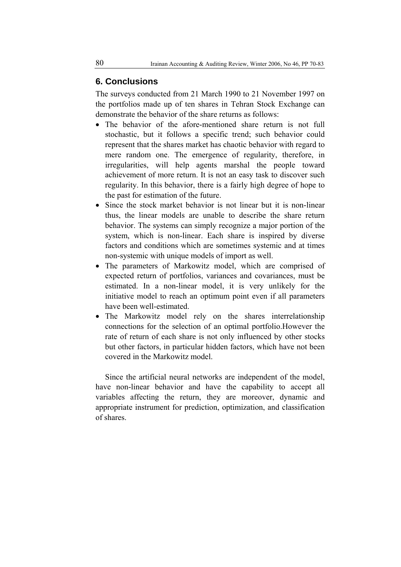## **6. Conclusions**

The surveys conducted from 21 March 1990 to 21 November 1997 on the portfolios made up of ten shares in Tehran Stock Exchange can demonstrate the behavior of the share returns as follows:

- The behavior of the afore-mentioned share return is not full stochastic, but it follows a specific trend; such behavior could represent that the shares market has chaotic behavior with regard to mere random one. The emergence of regularity, therefore, in irregularities, will help agents marshal the people toward achievement of more return. It is not an easy task to discover such regularity. In this behavior, there is a fairly high degree of hope to the past for estimation of the future.
- Since the stock market behavior is not linear but it is non-linear thus, the linear models are unable to describe the share return behavior. The systems can simply recognize a major portion of the system, which is non-linear. Each share is inspired by diverse factors and conditions which are sometimes systemic and at times non-systemic with unique models of import as well.
- The parameters of Markowitz model, which are comprised of expected return of portfolios, variances and covariances, must be estimated. In a non-linear model, it is very unlikely for the initiative model to reach an optimum point even if all parameters have been well-estimated.
- The Markowitz model rely on the shares interrelationship connections for the selection of an optimal portfolio.However the rate of return of each share is not only influenced by other stocks but other factors, in particular hidden factors, which have not been covered in the Markowitz model.

Since the artificial neural networks are independent of the model, have non-linear behavior and have the capability to accept all variables affecting the return, they are moreover, dynamic and appropriate instrument for prediction, optimization, and classification of shares.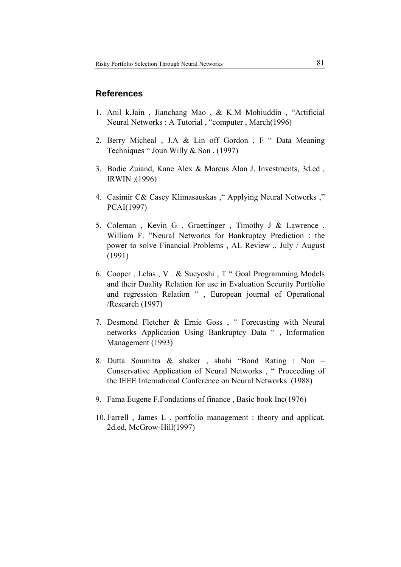# **References**

- 1. Anil k.Jain , Jianchang Mao , & K.M Mohiuddin , "Artificial Neural Networks : A Tutorial , "computer , March(1996)
- 2. Berry Micheal , J.A & Lin off Gordon , F " Data Meaning Techniques " Joun Willy & Son , (1997)
- 3. Bodie Zuiand, Kane Alex & Marcus Alan J, Investments, 3d.ed , IRWIN ,(1996)
- 4. Casimir C& Casey Klimasauskas ," Applying Neural Networks ," PCAI(1997)
- 5. Coleman , Kevin G . Graettinger , Timothy J & Lawrence , William F. "Neural Networks for Bankruptcy Prediction : the power to solve Financial Problems , AL Review ,, July / August (1991)
- 6. Cooper , Lelas , V . & Sueyoshi , T " Goal Programming Models and their Duality Relation for use in Evaluation Security Portfolio and regression Relation " , European journal of Operational /Research (1997)
- 7. Desmond Fletcher & Ernie Goss , " Forecasting with Neural networks Application Using Bankruptcy Data " , Information Management (1993)
- 8. Dutta Soumitra & shaker , shahi "Bond Rating : Non Conservative Application of Neural Networks , " Proceeding of the IEEE International Conference on Neural Networks .(1988)
- 9. Fama Eugene F.Fondations of finance , Basic book Inc(1976)
- 10. Farrell , James L . portfolio management : theory and applicat, 2d.ed, McGrow-Hill(1997)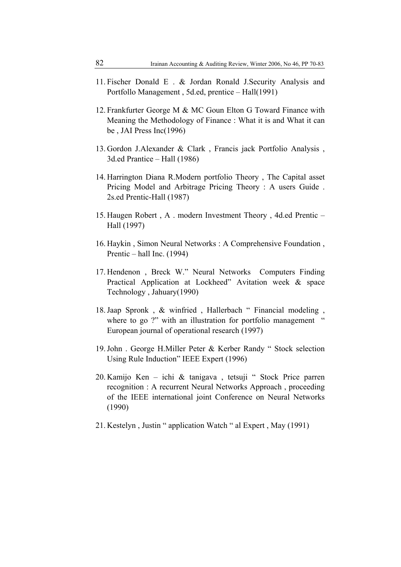- 11. Fischer Donald E . & Jordan Ronald J.Security Analysis and Portfollo Management , 5d.ed, prentice – Hall(1991)
- 12. Frankfurter George M & MC Goun Elton G Toward Finance with Meaning the Methodology of Finance : What it is and What it can be , JAI Press Inc(1996)
- 13. Gordon J.Alexander & Clark , Francis jack Portfolio Analysis , 3d.ed Prantice – Hall (1986)
- 14. Harrington Diana R.Modern portfolio Theory , The Capital asset Pricing Model and Arbitrage Pricing Theory : A users Guide . 2s.ed Prentic-Hall (1987)
- 15. Haugen Robert , A . modern Investment Theory , 4d.ed Prentic Hall (1997)
- 16. Haykin , Simon Neural Networks : A Comprehensive Foundation , Prentic – hall Inc. (1994)
- 17. Hendenon , Breck W." Neural Networks Computers Finding Practical Application at Lockheed" Avitation week & space Technology , Jahuary(1990)
- 18.Jaap Spronk , & winfried , Hallerbach " Financial modeling , where to go ?" with an illustration for portfolio management " European journal of operational research (1997)
- 19.John . George H.Miller Peter & Kerber Randy " Stock selection Using Rule Induction" IEEE Expert (1996)
- 20. Kamijo Ken ichi & tanigava , tetsuji " Stock Price parren recognition : A recurrent Neural Networks Approach , proceeding of the IEEE international joint Conference on Neural Networks (1990)
- 21. Kestelyn , Justin " application Watch " al Expert , May (1991)